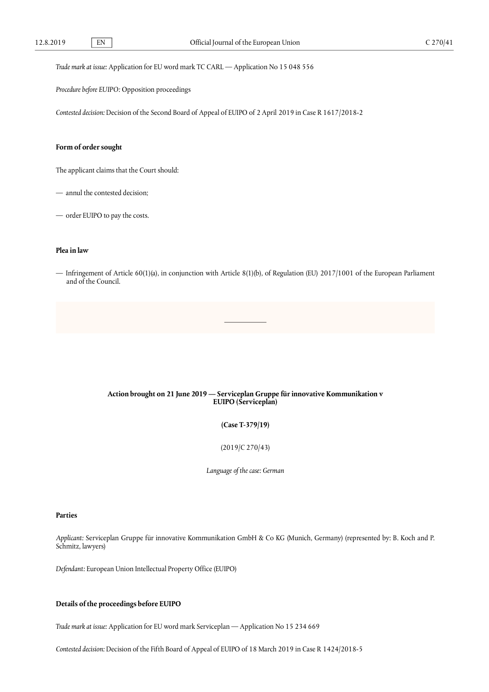*Trade mark at issue:* Application for EU word mark TC CARL — Application No 15 048 556

*Procedure before EUIPO:* Opposition proceedings

*Contested decision:* Decision of the Second Board of Appeal of EUIPO of 2 April 2019 in Case R 1617/2018-2

## **Form of order sought**

The applicant claims that the Court should:

— annul the contested decision;

— order EUIPO to pay the costs.

# **Plea in law**

— Infringement of Article 60(1)(a), in conjunction with Article 8(1)(b), of Regulation (EU) 2017/1001 of the European Parliament and of the Council.

# Action brought on 21 June 2019 — Serviceplan Gruppe für innovative Kommunikation v **EUIPO (Serviceplan)**

**(Case T-379/19)**

(2019/C 270/43)

*Language of the case: German*

## **Parties**

*Applicant:* Serviceplan Gruppe für innovative Kommunikation GmbH & Co KG (Munich, Germany) (represented by: B. Koch and P. Schmitz, lawyers)

*Defendant:* European Union Intellectual Property Office (EUIPO)

#### **Details of the proceedings before EUIPO**

*Trade mark at issue:* Application for EU word mark Serviceplan — Application No 15 234 669

*Contested decision:* Decision of the Fifth Board of Appeal of EUIPO of 18 March 2019 in Case R 1424/2018-5